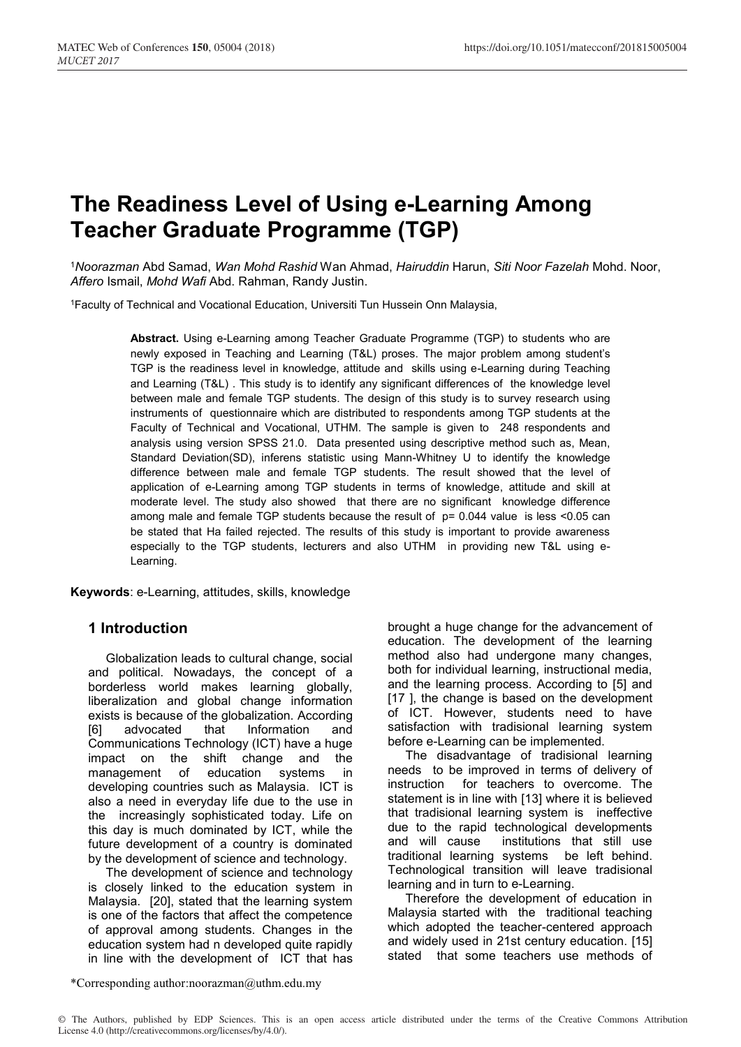# **The Readiness Level of Using e-Learning Among Teacher Graduate Programme (TGP)**

<sup>1</sup>*Noorazman* Abd Samad, *Wan Mohd Rashid* Wan Ahmad, *Hairuddin* Harun, *Siti Noor Fazelah* Mohd. Noor, *Affero* Ismail, *Mohd Wafi* Abd. Rahman, Randy Justin.

1Faculty of Technical and Vocational Education, Universiti Tun Hussein Onn Malaysia,

**Abstract.** Using e-Learning among Teacher Graduate Programme (TGP) to students who are newly exposed in Teaching and Learning (T&L) proses. The major problem among student's TGP is the readiness level in knowledge, attitude and skills using e-Learning during Teaching and Learning (T&L) . This study is to identify any significant differences of the knowledge level between male and female TGP students. The design of this study is to survey research using instruments of questionnaire which are distributed to respondents among TGP students at the Faculty of Technical and Vocational, UTHM. The sample is given to 248 respondents and analysis using version SPSS 21.0. Data presented using descriptive method such as, Mean, Standard Deviation(SD), inferens statistic using Mann-Whitney U to identify the knowledge difference between male and female TGP students. The result showed that the level of application of e-Learning among TGP students in terms of knowledge, attitude and skill at moderate level. The study also showed that there are no significant knowledge difference among male and female TGP students because the result of  $p = 0.044$  value is less <0.05 can be stated that Ha failed rejected. The results of this study is important to provide awareness especially to the TGP students, lecturers and also UTHM in providing new T&L using e-Learning.

**Keywords**: e-Learning, attitudes, skills, knowledge

#### **1 Introduction**

Globalization leads to cultural change, social and political. Nowadays, the concept of a borderless world makes learning globally, liberalization and global change information exists is because of the globalization. According [6] advocated that Information and Communications Technology (ICT) have a huge impact on the shift change and the management of education systems in developing countries such as Malaysia. ICT is also a need in everyday life due to the use in the increasingly sophisticated today. Life on this day is much dominated by ICT, while the future development of a country is dominated by the development of science and technology.

The development of science and technology is closely linked to the education system in Malaysia. [20], stated that the learning system is one of the factors that affect the competence of approval among students. Changes in the education system had n developed quite rapidly in line with the development of ICT that has brought a huge change for the advancement of education. The development of the learning method also had undergone many changes, both for individual learning, instructional media, and the learning process. According to [5] and [17 ], the change is based on the development of ICT. However, students need to have satisfaction with tradisional learning system before e-Learning can be implemented.

The disadvantage of tradisional learning needs to be improved in terms of delivery of instruction for teachers to overcome. The statement is in line with [13] where it is believed that tradisional learning system is ineffective due to the rapid technological developments and will cause institutions that still use traditional learning systems be left behind. Technological transition will leave tradisional learning and in turn to e-Learning.

Therefore the development of education in Malaysia started with the traditional teaching which adopted the teacher-centered approach and widely used in 21st century education. [15] stated that some teachers use methods of

\*Corresponding author:noorazman@uthm.edu.my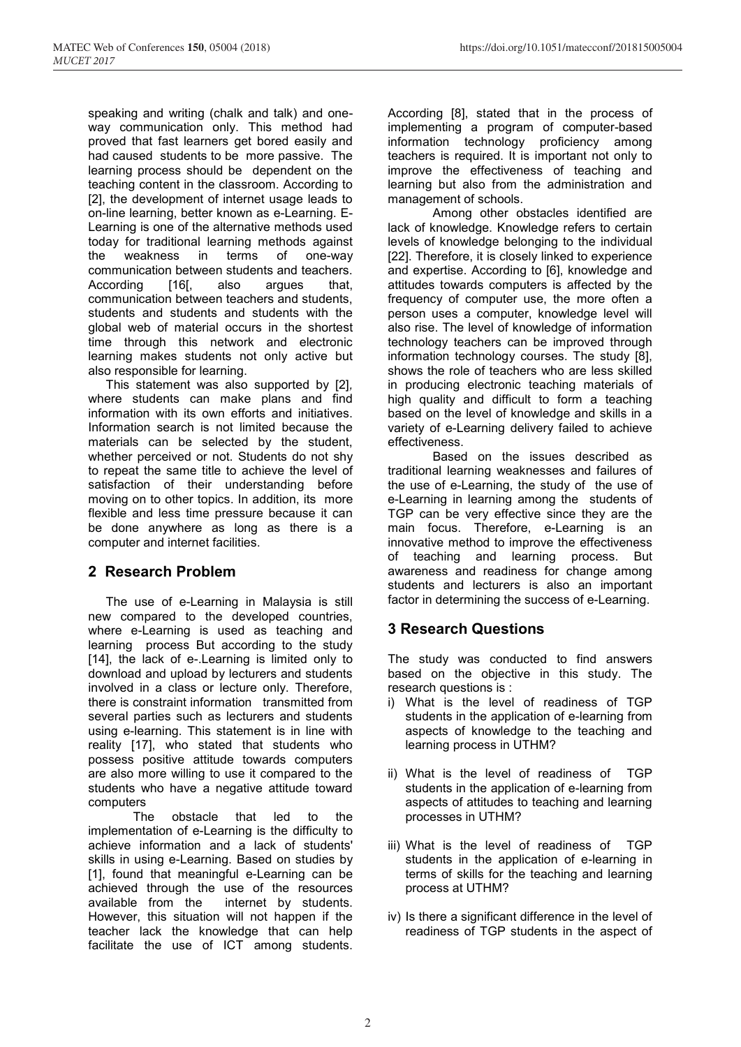speaking and writing (chalk and talk) and oneway communication only. This method had proved that fast learners get bored easily and had caused students to be more passive. The learning process should be dependent on the teaching content in the classroom. According to [2], the development of internet usage leads to on-line learning, better known as e-Learning. E-Learning is one of the alternative methods used today for traditional learning methods against<br>the weakness in terms of one-way the weakness in terms of one-way communication between students and teachers. According [16[, also argues that, communication between teachers and students, students and students and students with the global web of material occurs in the shortest time through this network and electronic learning makes students not only active but also responsible for learning.

This statement was also supported by [2]*,*  where students can make plans and find information with its own efforts and initiatives. Information search is not limited because the materials can be selected by the student, whether perceived or not. Students do not shy to repeat the same title to achieve the level of satisfaction of their understanding before moving on to other topics. In addition, its more flexible and less time pressure because it can be done anywhere as long as there is a computer and internet facilities.

# **2 Research Problem**

The use of e-Learning in Malaysia is still new compared to the developed countries, where e-Learning is used as teaching and learning process But according to the study [14], the lack of e-.Learning is limited only to download and upload by lecturers and students involved in a class or lecture only. Therefore, there is constraint information transmitted from several parties such as lecturers and students using e-learning. This statement is in line with reality [17], who stated that students who possess positive attitude towards computers are also more willing to use it compared to the students who have a negative attitude toward computers

The obstacle that led to the implementation of e-Learning is the difficulty to achieve information and a lack of students' skills in using e-Learning. Based on studies by [1], found that meaningful e-Learning can be achieved through the use of the resources available from the internet by students. However, this situation will not happen if the teacher lack the knowledge that can help facilitate the use of ICT among students.

According [8], stated that in the process of implementing a program of computer-based information technology proficiency among teachers is required. It is important not only to improve the effectiveness of teaching and learning but also from the administration and management of schools.

Among other obstacles identified are lack of knowledge. Knowledge refers to certain levels of knowledge belonging to the individual [22]. Therefore, it is closely linked to experience and expertise. According to [6], knowledge and attitudes towards computers is affected by the frequency of computer use, the more often a person uses a computer, knowledge level will also rise. The level of knowledge of information technology teachers can be improved through information technology courses. The study [8], shows the role of teachers who are less skilled in producing electronic teaching materials of high quality and difficult to form a teaching based on the level of knowledge and skills in a variety of e-Learning delivery failed to achieve effectiveness.

Based on the issues described as traditional learning weaknesses and failures of the use of e-Learning, the study of the use of e-Learning in learning among the students of TGP can be very effective since they are the main focus. Therefore, e-Learning is an innovative method to improve the effectiveness of teaching and learning process. But awareness and readiness for change among students and lecturers is also an important factor in determining the success of e-Learning.

# **3 Research Questions**

The study was conducted to find answers based on the objective in this study. The research questions is :

- i) What is the level of readiness of TGP students in the application of e-learning from aspects of knowledge to the teaching and learning process in UTHM?
- ii) What is the level of readiness of TGP students in the application of e-learning from aspects of attitudes to teaching and learning processes in UTHM?
- iii) What is the level of readiness of TGP students in the application of e-learning in terms of skills for the teaching and learning process at UTHM?
- iv) Is there a significant difference in the level of readiness of TGP students in the aspect of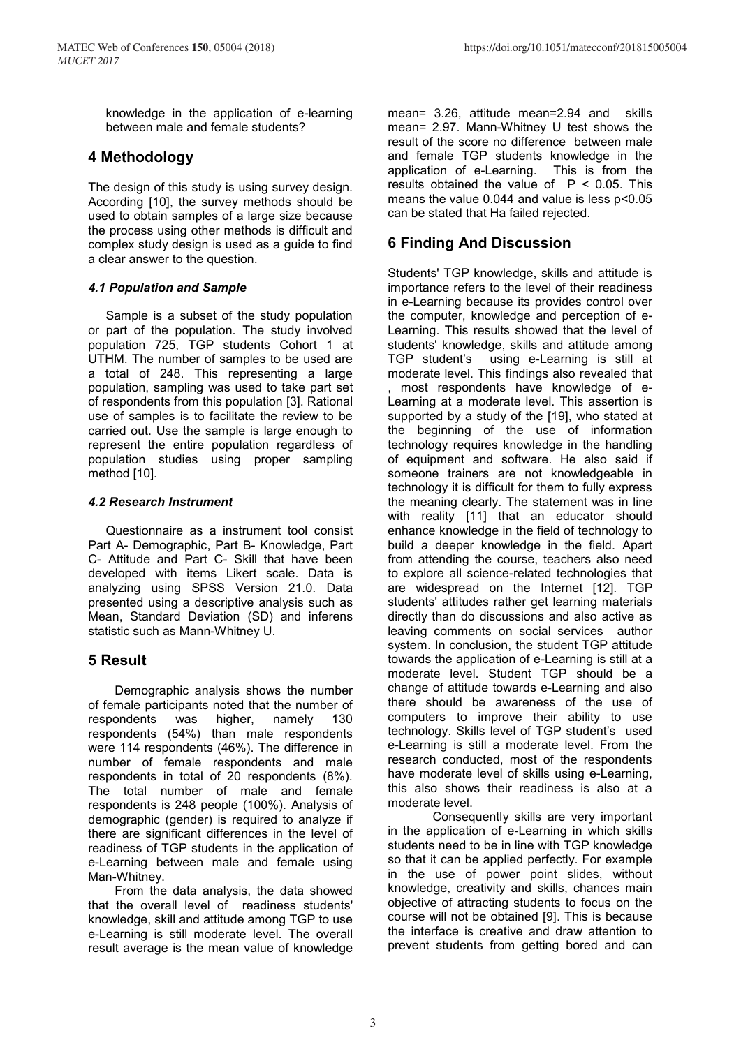knowledge in the application of e-learning between male and female students?

# **4 Methodology**

The design of this study is using survey design. According [10], the survey methods should be used to obtain samples of a large size because the process using other methods is difficult and complex study design is used as a guide to find a clear answer to the question.

#### *4.1 Population and Sample*

Sample is a subset of the study population or part of the population. The study involved population 725, TGP students Cohort 1 at UTHM. The number of samples to be used are a total of 248. This representing a large population, sampling was used to take part set of respondents from this population [3]. Rational use of samples is to facilitate the review to be carried out. Use the sample is large enough to represent the entire population regardless of population studies using proper sampling method [10].

#### *4.2 Research Instrument*

Questionnaire as a instrument tool consist Part A- Demographic, Part B- Knowledge, Part C- Attitude and Part C- Skill that have been developed with items Likert scale. Data is analyzing using SPSS Version 21.0. Data presented using a descriptive analysis such as Mean, Standard Deviation (SD) and inferens statistic such as Mann-Whitney U.

# **5 Result**

Demographic analysis shows the number of female participants noted that the number of respondents was higher, namely 130 respondents (54%) than male respondents were 114 respondents (46%). The difference in number of female respondents and male respondents in total of 20 respondents (8%). The total number of male and female respondents is 248 people (100%). Analysis of demographic (gender) is required to analyze if there are significant differences in the level of readiness of TGP students in the application of e-Learning between male and female using Man-Whitney.

From the data analysis, the data showed that the overall level of readiness students' knowledge, skill and attitude among TGP to use e-Learning is still moderate level. The overall result average is the mean value of knowledge mean= 3.26, attitude mean=2.94 and skills mean= 2.97. Mann-Whitney U test shows the result of the score no difference between male and female TGP students knowledge in the application of e-Learning. This is from the application of e-Learning. results obtained the value of  $P < 0.05$ . This means the value 0.044 and value is less p<0.05 can be stated that Ha failed rejected.

# **6 Finding And Discussion**

Students' TGP knowledge, skills and attitude is importance refers to the level of their readiness in e-Learning because its provides control over the computer, knowledge and perception of e-Learning. This results showed that the level of students' knowledge, skills and attitude among TGP student's using e-Learning is still at moderate level. This findings also revealed that most respondents have knowledge of e-Learning at a moderate level. This assertion is supported by a study of the [19], who stated at the beginning of the use of information technology requires knowledge in the handling of equipment and software. He also said if someone trainers are not knowledgeable in technology it is difficult for them to fully express the meaning clearly. The statement was in line with reality [11] that an educator should enhance knowledge in the field of technology to build a deeper knowledge in the field. Apart from attending the course, teachers also need to explore all science-related technologies that are widespread on the Internet [12]. TGP students' attitudes rather get learning materials directly than do discussions and also active as leaving comments on social services author system. In conclusion, the student TGP attitude towards the application of e-Learning is still at a moderate level. Student TGP should be a change of attitude towards e-Learning and also there should be awareness of the use of computers to improve their ability to use technology. Skills level of TGP student's used e-Learning is still a moderate level. From the research conducted, most of the respondents have moderate level of skills using e-Learning, this also shows their readiness is also at a moderate level.

Consequently skills are very important in the application of e-Learning in which skills students need to be in line with TGP knowledge so that it can be applied perfectly. For example in the use of power point slides, without knowledge, creativity and skills, chances main objective of attracting students to focus on the course will not be obtained [9]. This is because the interface is creative and draw attention to prevent students from getting bored and can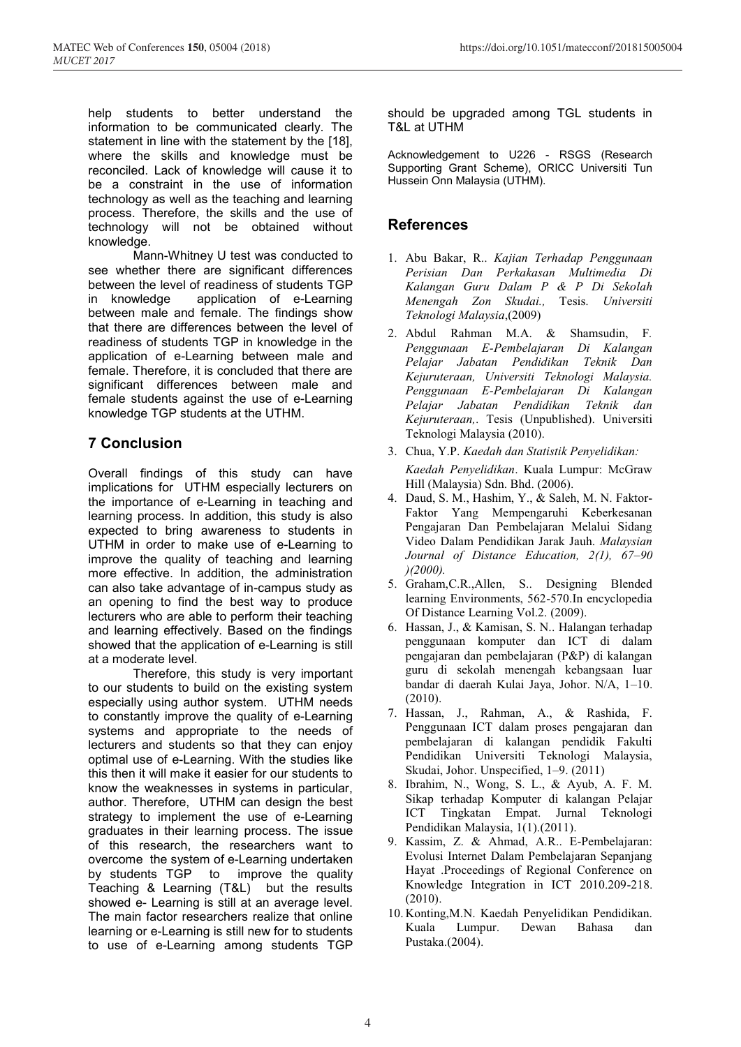help students to better understand the information to be communicated clearly. The statement in line with the statement by the [18], where the skills and knowledge must be reconciled. Lack of knowledge will cause it to be a constraint in the use of information technology as well as the teaching and learning process. Therefore, the skills and the use of technology will not be obtained without knowledge.

Mann-Whitney U test was conducted to see whether there are significant differences between the level of readiness of students TGP in knowledge application of e-Learning between male and female. The findings show that there are differences between the level of readiness of students TGP in knowledge in the application of e-Learning between male and female. Therefore, it is concluded that there are significant differences between male and female students against the use of e-Learning knowledge TGP students at the UTHM.

# **7 Conclusion**

Overall findings of this study can have implications for UTHM especially lecturers on the importance of e-Learning in teaching and learning process. In addition, this study is also expected to bring awareness to students in UTHM in order to make use of e-Learning to improve the quality of teaching and learning more effective. In addition, the administration can also take advantage of in-campus study as an opening to find the best way to produce lecturers who are able to perform their teaching and learning effectively. Based on the findings showed that the application of e-Learning is still at a moderate level.

Therefore, this study is very important to our students to build on the existing system especially using author system. UTHM needs to constantly improve the quality of e-Learning systems and appropriate to the needs of lecturers and students so that they can enjoy optimal use of e-Learning. With the studies like this then it will make it easier for our students to know the weaknesses in systems in particular, author. Therefore, UTHM can design the best strategy to implement the use of e-Learning graduates in their learning process. The issue of this research, the researchers want to overcome the system of e-Learning undertaken by students TGP to improve the quality Teaching & Learning (T&L) but the results showed e- Learning is still at an average level. The main factor researchers realize that online learning or e-Learning is still new for to students to use of e-Learning among students TGP

should be upgraded among TGL students in T&L at UTHM

Acknowledgement to U226 - RSGS (Research Supporting Grant Scheme), ORICC Universiti Tun Hussein Onn Malaysia (UTHM).

#### **References**

- 1. Abu Bakar, R.. *Kajian Terhadap Penggunaan Perisian Dan Perkakasan Multimedia Di Kalangan Guru Dalam P & P Di Sekolah Menengah Zon Skudai.,* Tesis. *Universiti Teknologi Malaysia*,(2009)
- 2. Abdul Rahman M.A. & Shamsudin, F*. Penggunaan E-Pembelajaran Di Kalangan Pelajar Jabatan Pendidikan Teknik Dan Kejuruteraan, Universiti Teknologi Malaysia. Penggunaan E-Pembelajaran Di Kalangan Pelajar Jabatan Pendidikan Teknik dan Kejuruteraan,*. Tesis (Unpublished). Universiti Teknologi Malaysia (2010).
- 3. Chua, Y.P. *Kaedah dan Statistik Penyelidikan: Kaedah Penyelidikan*. Kuala Lumpur: McGraw Hill (Malaysia) Sdn. Bhd. (2006).
- 4. Daud, S. M., Hashim, Y., & Saleh, M. N. Faktor-Faktor Yang Mempengaruhi Keberkesanan Pengajaran Dan Pembelajaran Melalui Sidang Video Dalam Pendidikan Jarak Jauh. *Malaysian Journal of Distance Education, 2(1), 67–90 )(2000).*
- 5. Graham,C.R.,Allen, S.. Designing Blended learning Environments, 562-570.In encyclopedia Of Distance Learning Vol.2. (2009).
- 6. Hassan, J., & Kamisan, S. N.. Halangan terhadap penggunaan komputer dan ICT di dalam pengajaran dan pembelajaran (P&P) di kalangan guru di sekolah menengah kebangsaan luar bandar di daerah Kulai Jaya, Johor. N/A, 1–10. (2010).
- 7. Hassan, J., Rahman, A., & Rashida, F. Penggunaan ICT dalam proses pengajaran dan pembelajaran di kalangan pendidik Fakulti Pendidikan Universiti Teknologi Malaysia, Skudai, Johor. Unspecified, 1–9. (2011)
- 8. Ibrahim, N., Wong, S. L., & Ayub, A. F. M. Sikap terhadap Komputer di kalangan Pelajar ICT Tingkatan Empat. Jurnal Teknologi Pendidikan Malaysia, 1(1).(2011).
- 9. Kassim, Z. & Ahmad, A.R.. E-Pembelajaran: Evolusi Internet Dalam Pembelajaran Sepanjang Hayat .Proceedings of Regional Conference on Knowledge Integration in ICT 2010.209-218. (2010).
- 10. Konting,M.N. Kaedah Penyelidikan Pendidikan. Kuala Lumpur. Dewan Bahasa dan Pustaka.(2004).